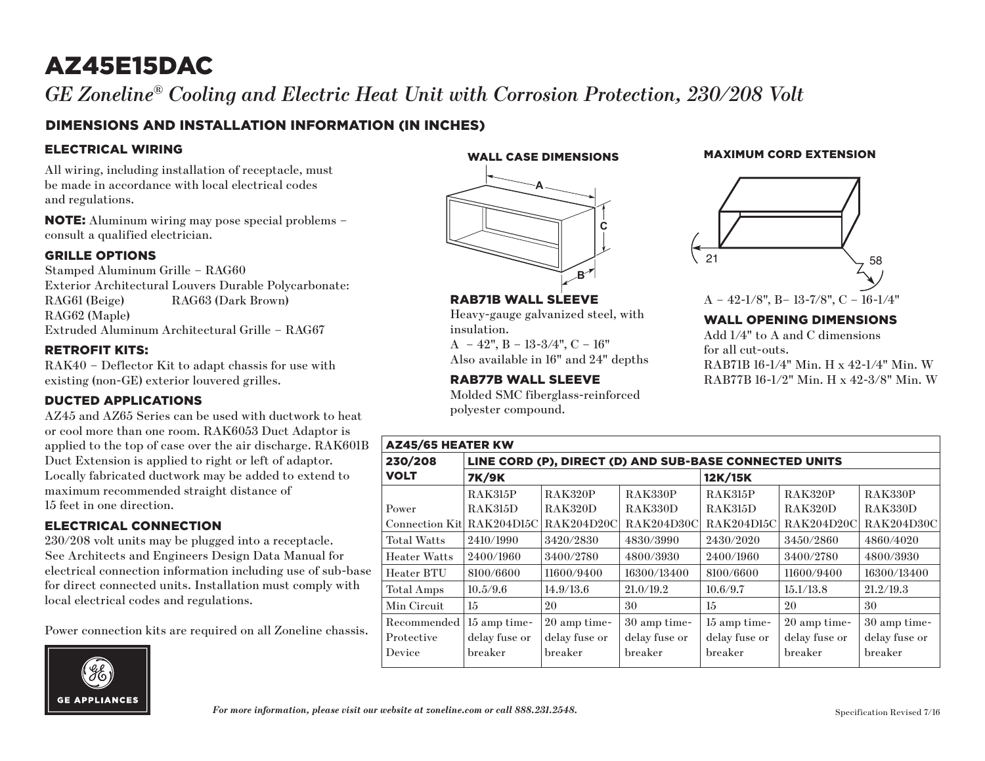# AZ45E15DAC

*GE Zoneline® Cooling and Electric Heat Unit with Corrosion Protection, 230/208 Volt*

## DIMENSIONS AND INSTALLATION INFORMATION (IN INCHES)

#### ELECTRICAL WIRING

All wiring, including installation of receptacle, must be made in accordance with local electrical codes and regulations.

NOTE: Aluminum wiring may pose special problems – consult a qualified electrician.

#### GRILLE OPTIONS

Stamped Aluminum Grille – RAG60 Exterior Architectural Louvers Durable Polycarbonate: RAG61 (Beige) RAG63 (Dark Brown) RAG62 (Maple) Extruded Aluminum Architectural Grille – RAG67

#### RETROFIT KITS:

RAK40 – Deflector Kit to adapt chassis for use with existing (non-GE) exterior louvered grilles.

#### DUCTED APPLICATIONS

AZ45 and AZ65 Series can be used with ductwork to heat or cool more than one room. RAK6053 Duct Adaptor is applied to the top of case over the air discharge. RAK601B Duct Extension is applied to right or left of adaptor. Locally fabricated ductwork may be added to extend to maximum recommended straight distance of 15 feet in one direction.

#### ELECTRICAL CONNECTION

230/208 volt units may be plugged into a receptacle. See Architects and Engineers Design Data Manual for electrical connection information including use of sub-base for direct connected units. Installation must comply with local electrical codes and regulations.

Power connection kits are required on all Zoneline chassis.



WALL CASE DIMENSIONS



RAB71B WALL SLEEVE

 $A - 42$ ",  $B - 13-3/4$ ",  $C - 16$ " Also available in 16" and 24" depths

RAB77B WALL SLEEVE

polyester compound.

insulation.

Heavy-gauge galvanized steel, with

Molded SMC fiberglass-reinforced

MAXIMUM CORD EXTENSION



## A – 42-1/8", B– 13-7/8", C – 16-1/4"

#### WALL OPENING DIMENSIONS

Add 1/4" to A and C dimensions for all cut-outs. RAB71B 16-1/4" Min. H x 42-1/4" Min. W RAB77B 16-1/2" Min. H x 42-3/8" Min. W

| <b>AZ45/65 HEATER KW</b>   |                                                        |                |                |                   |                   |                   |
|----------------------------|--------------------------------------------------------|----------------|----------------|-------------------|-------------------|-------------------|
| 230/208                    | LINE CORD (P), DIRECT (D) AND SUB-BASE CONNECTED UNITS |                |                |                   |                   |                   |
| <b>VOLT</b>                | <b>7K/9K</b>                                           |                |                | 12K/15K           |                   |                   |
|                            | <b>RAK315P</b>                                         | <b>RAK320P</b> | <b>RAK330P</b> | <b>RAK315P</b>    | <b>RAK320P</b>    | <b>RAK330P</b>    |
| Power                      | RAK315D                                                | <b>RAK320D</b> | RAK330D        | <b>RAK315D</b>    | RAK320D           | RAK330D           |
| Connection Kitl RAK204D15C |                                                        | RAK204D20C     | RAK204D30C     | <b>RAK204D15C</b> | <b>RAK204D20C</b> | <b>RAK204D30C</b> |
| <b>Total Watts</b>         | 2410/1990                                              | 3420/2830      | 4830/3990      | 2430/2020         | 3450/2860         | 4860/4020         |
| <b>Heater Watts</b>        | 2400/1960                                              | 3400/2780      | 4800/3930      | 2400/1960         | 3400/2780         | 4800/3930         |
| Heater BTU                 | 8100/6600                                              | 11600/9400     | 16300/13400    | 8100/6600         | 11600/9400        | 16300/13400       |
| Total Amps                 | 10.5/9.6                                               | 14.9/13.6      | 21.0/19.2      | 10.6/9.7          | 15.1/13.8         | 21.2/19.3         |
| Min Circuit                | 15                                                     | 20             | 30             | 15                | 20                | 30                |
| Recommended                | 15 amp time-                                           | 20 amp time-   | 30 amp time-   | 15 amp time-      | 20 amp time-      | 30 amp time-      |
| Protective                 | delay fuse or                                          | delay fuse or  | delay fuse or  | delay fuse or     | delay fuse or     | delay fuse or     |
| Device                     | breaker                                                | breaker        | breaker        | breaker           | breaker           | breaker           |